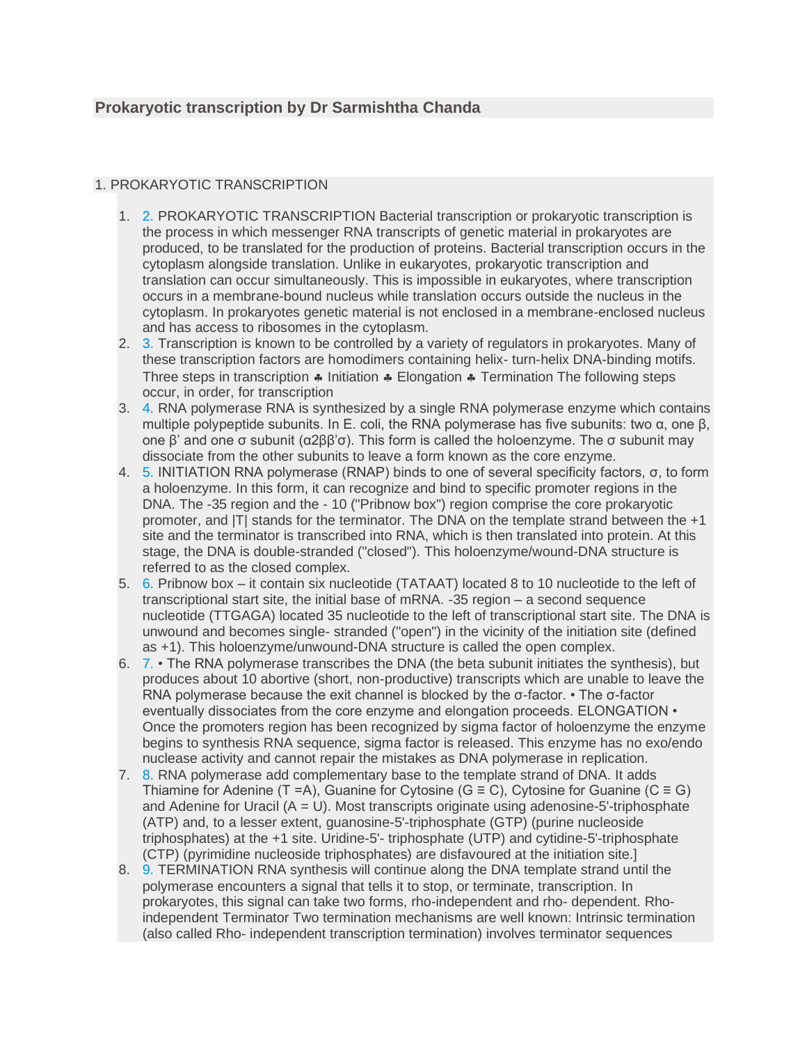## 1. PROKARYOTIC TRANSCRIPTION

- 1. [2.](https://image.slidesharecdn.com/prokaryotictranscription-160925100335/95/prokaryotic-transcription-2-638.jpg?cb=1474810819) PROKARYOTIC TRANSCRIPTION Bacterial transcription or prokaryotic transcription is the process in which messenger RNA transcripts of genetic material in prokaryotes are produced, to be translated for the production of proteins. Bacterial transcription occurs in the cytoplasm alongside translation. Unlike in eukaryotes, prokaryotic transcription and translation can occur simultaneously. This is impossible in eukaryotes, where transcription occurs in a membrane-bound nucleus while translation occurs outside the nucleus in the cytoplasm. In prokaryotes genetic material is not enclosed in a membrane-enclosed nucleus and has access to ribosomes in the cytoplasm.
- 2. [3.](https://image.slidesharecdn.com/prokaryotictranscription-160925100335/95/prokaryotic-transcription-3-638.jpg?cb=1474810819) Transcription is known to be controlled by a variety of regulators in prokaryotes. Many of these transcription factors are homodimers containing helix- turn-helix DNA-binding motifs. Three steps in transcription  $\clubsuit$  Initiation  $\clubsuit$  Elongation  $\clubsuit$  Termination The following steps occur, in order, for transcription
- 3. [4.](https://image.slidesharecdn.com/prokaryotictranscription-160925100335/95/prokaryotic-transcription-4-638.jpg?cb=1474810819) RNA polymerase RNA is synthesized by a single RNA polymerase enzyme which contains multiple polypeptide subunits. In E. coli, the RNA polymerase has five subunits: two  $α$ , one  $β$ , one β' and one σ subunit (α2ββ'σ). This form is called the holoenzyme. The σ subunit may dissociate from the other subunits to leave a form known as the core enzyme.
- 4. [5.](https://image.slidesharecdn.com/prokaryotictranscription-160925100335/95/prokaryotic-transcription-5-638.jpg?cb=1474810819) INITIATION RNA polymerase (RNAP) binds to one of several specificity factors, σ, to form a holoenzyme. In this form, it can recognize and bind to specific promoter regions in the DNA. The -35 region and the - 10 ("Pribnow box") region comprise the core prokaryotic promoter, and |T| stands for the terminator. The DNA on the template strand between the +1 site and the terminator is transcribed into RNA, which is then translated into protein. At this stage, the DNA is double-stranded ("closed"). This holoenzyme/wound-DNA structure is referred to as the closed complex.
- 5. [6.](https://image.slidesharecdn.com/prokaryotictranscription-160925100335/95/prokaryotic-transcription-6-638.jpg?cb=1474810819) Pribnow box it contain six nucleotide (TATAAT) located 8 to 10 nucleotide to the left of transcriptional start site, the initial base of mRNA. -35 region – a second sequence nucleotide (TTGAGA) located 35 nucleotide to the left of transcriptional start site. The DNA is unwound and becomes single- stranded ("open") in the vicinity of the initiation site (defined as +1). This holoenzyme/unwound-DNA structure is called the open complex.
- 6. [7.](https://image.slidesharecdn.com/prokaryotictranscription-160925100335/95/prokaryotic-transcription-7-638.jpg?cb=1474810819) The RNA polymerase transcribes the DNA (the beta subunit initiates the synthesis), but produces about 10 abortive (short, non-productive) transcripts which are unable to leave the RNA polymerase because the exit channel is blocked by the σ-factor. • The σ-factor eventually dissociates from the core enzyme and elongation proceeds. ELONGATION • Once the promoters region has been recognized by sigma factor of holoenzyme the enzyme begins to synthesis RNA sequence, sigma factor is released. This enzyme has no exo/endo nuclease activity and cannot repair the mistakes as DNA polymerase in replication.
- 7. [8.](https://image.slidesharecdn.com/prokaryotictranscription-160925100335/95/prokaryotic-transcription-8-638.jpg?cb=1474810819) RNA polymerase add complementary base to the template strand of DNA. It adds Thiamine for Adenine (T =A), Guanine for Cytosine (G  $\equiv$  C), Cytosine for Guanine (C  $\equiv$  G) and Adenine for Uracil  $(A = U)$ . Most transcripts originate using adenosine-5'-triphosphate (ATP) and, to a lesser extent, guanosine-5'-triphosphate (GTP) (purine nucleoside triphosphates) at the +1 site. Uridine-5'- triphosphate (UTP) and cytidine-5'-triphosphate (CTP) (pyrimidine nucleoside triphosphates) are disfavoured at the initiation site.]
- 8. [9.](https://image.slidesharecdn.com/prokaryotictranscription-160925100335/95/prokaryotic-transcription-9-638.jpg?cb=1474810819) TERMINATION RNA synthesis will continue along the DNA template strand until the polymerase encounters a signal that tells it to stop, or terminate, transcription. In prokaryotes, this signal can take two forms, rho-independent and rho- dependent. Rhoindependent Terminator Two termination mechanisms are well known: Intrinsic termination (also called Rho- independent transcription termination) involves terminator sequences